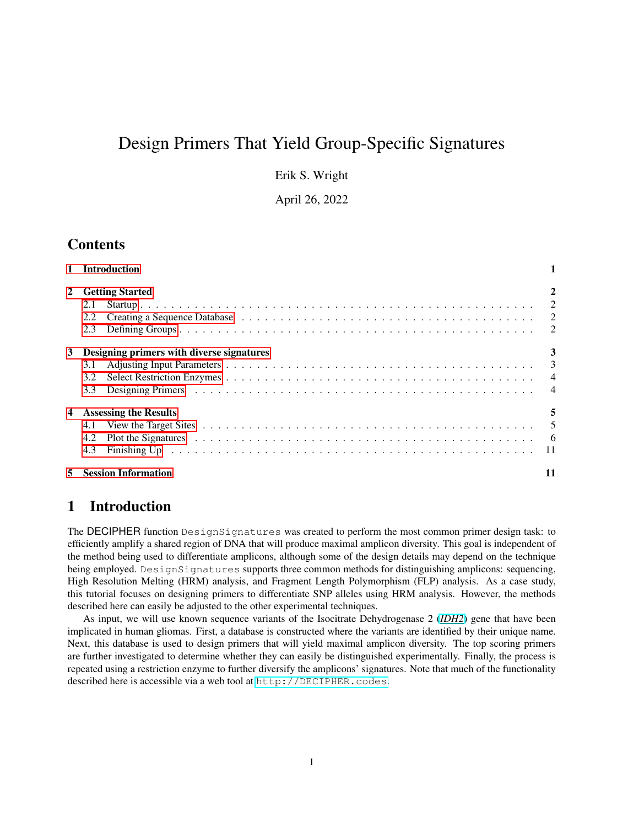# Design Primers That Yield Group-Specific Signatures

Erik S. Wright

April 26, 2022

## **Contents**

|   | 1 Introduction                                                                                                                                                                                                                        |             |
|---|---------------------------------------------------------------------------------------------------------------------------------------------------------------------------------------------------------------------------------------|-------------|
|   | 2 Getting Started                                                                                                                                                                                                                     | $\mathbf 2$ |
|   | 2.1                                                                                                                                                                                                                                   |             |
|   | 2.2                                                                                                                                                                                                                                   |             |
|   | 2.3                                                                                                                                                                                                                                   |             |
| 3 | Designing primers with diverse signatures                                                                                                                                                                                             |             |
|   | 3.1                                                                                                                                                                                                                                   |             |
|   | 3.2                                                                                                                                                                                                                                   |             |
|   | 3.3                                                                                                                                                                                                                                   |             |
|   | <b>Assessing the Results</b>                                                                                                                                                                                                          | 5           |
|   | 4.1                                                                                                                                                                                                                                   |             |
|   | Plot the Signatures (a) and a contract of the signatures (contract of the signatures (contract of the signature of the signature of the Signature of the Signature of the Signature of the Signature of the Signature of the S<br>4.2 |             |
|   | 4.3                                                                                                                                                                                                                                   |             |
|   | <b>Session Information</b>                                                                                                                                                                                                            |             |

## <span id="page-0-0"></span>1 Introduction

The DECIPHER function DesignSignatures was created to perform the most common primer design task: to efficiently amplify a shared region of DNA that will produce maximal amplicon diversity. This goal is independent of the method being used to differentiate amplicons, although some of the design details may depend on the technique being employed. DesignSignatures supports three common methods for distinguishing amplicons: sequencing, High Resolution Melting (HRM) analysis, and Fragment Length Polymorphism (FLP) analysis. As a case study, this tutorial focuses on designing primers to differentiate SNP alleles using HRM analysis. However, the methods described here can easily be adjusted to the other experimental techniques.

As input, we will use known sequence variants of the Isocitrate Dehydrogenase 2 (*[IDH2](https://en.wikipedia.org/wiki/IDH2)*) gene that have been implicated in human gliomas. First, a database is constructed where the variants are identified by their unique name. Next, this database is used to design primers that will yield maximal amplicon diversity. The top scoring primers are further investigated to determine whether they can easily be distinguished experimentally. Finally, the process is repeated using a restriction enzyme to further diversify the amplicons' signatures. Note that much of the functionality described here is accessible via a web tool at <http://DECIPHER.codes>.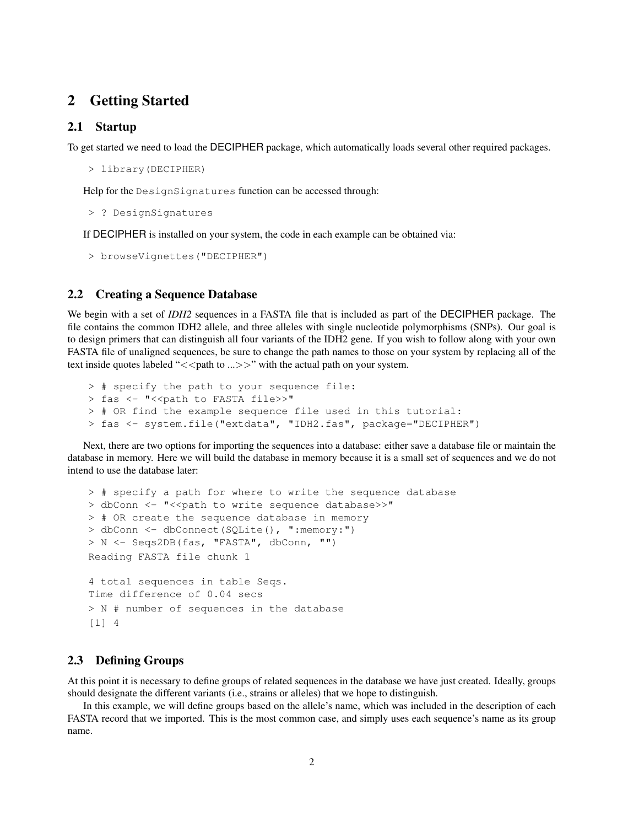## <span id="page-1-0"></span>2 Getting Started

#### <span id="page-1-1"></span>2.1 Startup

To get started we need to load the DECIPHER package, which automatically loads several other required packages.

```
> library(DECIPHER)
```
Help for the DesignSignatures function can be accessed through:

```
> ? DesignSignatures
```
If DECIPHER is installed on your system, the code in each example can be obtained via:

```
> browseVignettes("DECIPHER")
```
#### <span id="page-1-2"></span>2.2 Creating a Sequence Database

We begin with a set of *IDH2* sequences in a FASTA file that is included as part of the DECIPHER package. The file contains the common IDH2 allele, and three alleles with single nucleotide polymorphisms (SNPs). Our goal is to design primers that can distinguish all four variants of the IDH2 gene. If you wish to follow along with your own FASTA file of unaligned sequences, be sure to change the path names to those on your system by replacing all of the text inside quotes labeled " $\lt$  path to ... >>" with the actual path on your system.

```
> # specify the path to your sequence file:
> fas <- "<< path to FASTA file>>"
> # OR find the example sequence file used in this tutorial:
> fas <- system.file("extdata", "IDH2.fas", package="DECIPHER")
```
Next, there are two options for importing the sequences into a database: either save a database file or maintain the database in memory. Here we will build the database in memory because it is a small set of sequences and we do not intend to use the database later:

```
> # specify a path for where to write the sequence database
> dbConn <- "<<path to write sequence database>>"
> # OR create the sequence database in memory
> dbConn <- dbConnect(SQLite(), ":memory:")
> N <- Seqs2DB(fas, "FASTA", dbConn, "")
Reading FASTA file chunk 1
4 total sequences in table Seqs.
Time difference of 0.04 secs
> N # number of sequences in the database
[1] 4
```
#### <span id="page-1-3"></span>2.3 Defining Groups

At this point it is necessary to define groups of related sequences in the database we have just created. Ideally, groups should designate the different variants (i.e., strains or alleles) that we hope to distinguish.

In this example, we will define groups based on the allele's name, which was included in the description of each FASTA record that we imported. This is the most common case, and simply uses each sequence's name as its group name.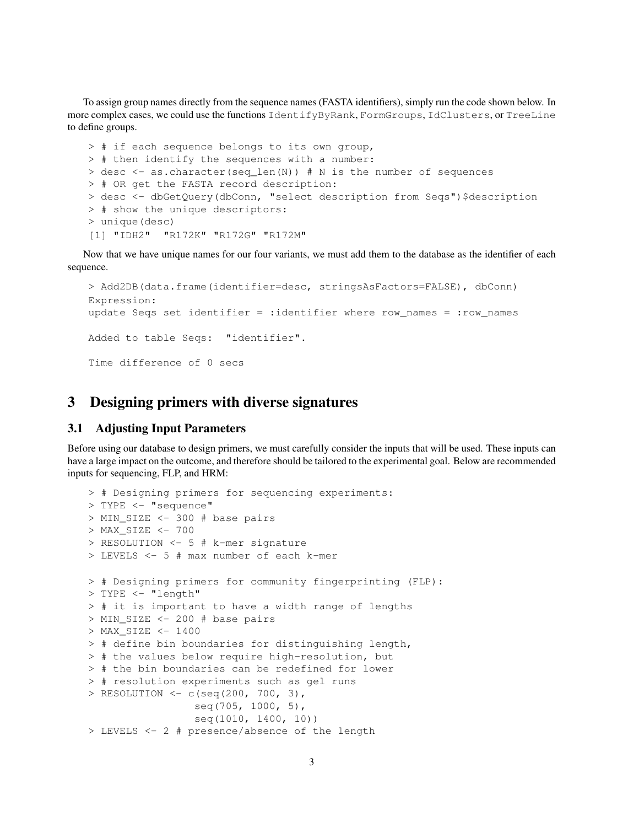To assign group names directly from the sequence names (FASTA identifiers), simply run the code shown below. In more complex cases, we could use the functions IdentifyByRank, FormGroups, IdClusters, or TreeLine to define groups.

```
> # if each sequence belongs to its own group,
> # then identify the sequences with a number:
> desc <- as.character(seq_len(N)) # N is the number of sequences
> # OR get the FASTA record description:
> desc <- dbGetQuery(dbConn, "select description from Seqs")$description
> # show the unique descriptors:
> unique(desc)
[1] "IDH2" "R172K" "R172G" "R172M"
```
Now that we have unique names for our four variants, we must add them to the database as the identifier of each sequence.

```
> Add2DB(data.frame(identifier=desc, stringsAsFactors=FALSE), dbConn)
Expression:
update Seqs set identifier = :identifier where row_names = :row_names
Added to table Seqs: "identifier".
Time difference of 0 secs
```
## <span id="page-2-0"></span>3 Designing primers with diverse signatures

#### <span id="page-2-1"></span>3.1 Adjusting Input Parameters

Before using our database to design primers, we must carefully consider the inputs that will be used. These inputs can have a large impact on the outcome, and therefore should be tailored to the experimental goal. Below are recommended inputs for sequencing, FLP, and HRM:

```
> # Designing primers for sequencing experiments:
> TYPE <- "sequence"
> MIN_SIZE <- 300 # base pairs
> MAX_SIZE <- 700
> RESOLUTION <- 5 # k-mer signature
> LEVELS <- 5 # max number of each k-mer
> # Designing primers for community fingerprinting (FLP):
> TYPE <- "length"
> # it is important to have a width range of lengths
> MIN_SIZE <- 200 # base pairs
> MAX_SIZE <- 1400
> # define bin boundaries for distinguishing length,
> # the values below require high-resolution, but
> # the bin boundaries can be redefined for lower
> # resolution experiments such as gel runs
> RESOLUTION <- c(seq(200, 700, 3),
                 seq(705, 1000, 5),
                 seq(1010, 1400, 10))
> LEVELS <- 2 # presence/absence of the length
```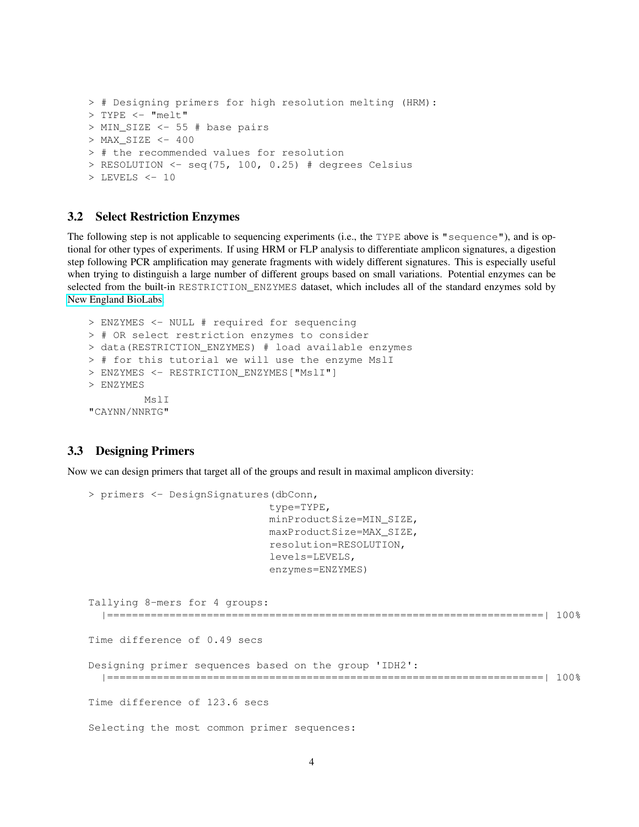```
> # Designing primers for high resolution melting (HRM):
> TYPE <- "melt"
> MIN SIZE <- 55 # base pairs
> MAX SIZE <- 400
> # the recommended values for resolution
> RESOLUTION \le seq(75, 100, 0.25) # degrees Celsius
> LEVELS <- 10
```
#### <span id="page-3-0"></span>3.2 Select Restriction Enzymes

The following step is not applicable to sequencing experiments (i.e., the TYPE above is "sequence"), and is optional for other types of experiments. If using HRM or FLP analysis to differentiate amplicon signatures, a digestion step following PCR amplification may generate fragments with widely different signatures. This is especially useful when trying to distinguish a large number of different groups based on small variations. Potential enzymes can be selected from the built-in RESTRICTION\_ENZYMES dataset, which includes all of the standard enzymes sold by [New England BioLabs.](https://www.neb.com/)

```
> ENZYMES <- NULL # required for sequencing
> # OR select restriction enzymes to consider
> data(RESTRICTION_ENZYMES) # load available enzymes
> # for this tutorial we will use the enzyme MslI
> ENZYMES <- RESTRICTION_ENZYMES["MslI"]
> ENZYMES
        MslI
"CAYNN/NNRTG"
```
#### <span id="page-3-1"></span>3.3 Designing Primers

Now we can design primers that target all of the groups and result in maximal amplicon diversity:

```
> primers <- DesignSignatures(dbConn,
                             type=TYPE,
                             minProductSize=MIN_SIZE,
                             maxProductSize=MAX_SIZE,
                             resolution=RESOLUTION,
                             levels=LEVELS,
                             enzymes=ENZYMES)
Tallying 8-mers for 4 groups:
  |======================================================================| 100%
Time difference of 0.49 secs
Designing primer sequences based on the group 'IDH2':
  |======================================================================| 100%
Time difference of 123.6 secs
Selecting the most common primer sequences:
```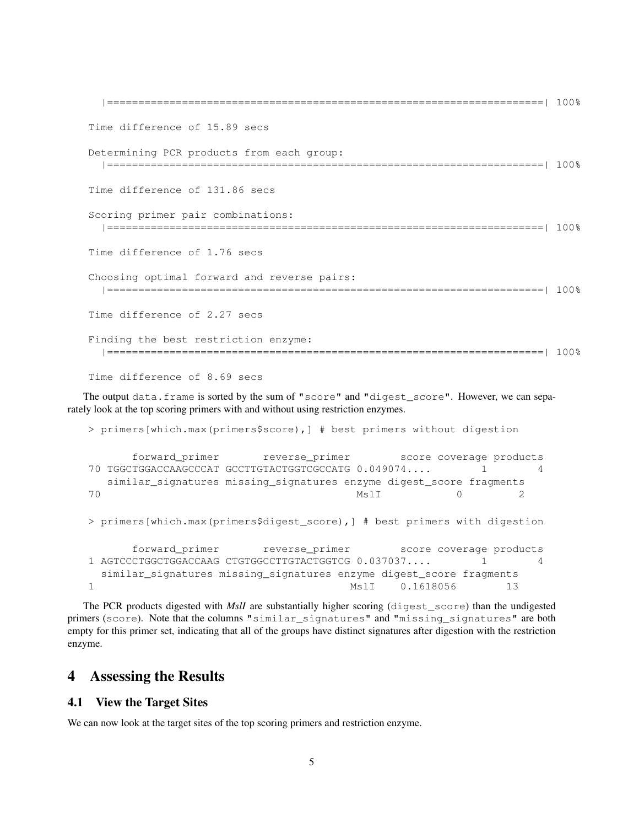```
|======================================================================| 100%
Time difference of 15.89 secs
Determining PCR products from each group:
  |======================================================================| 100%
Time difference of 131.86 secs
Scoring primer pair combinations:
  |======================================================================| 100%
Time difference of 1.76 secs
Choosing optimal forward and reverse pairs:
  |======================================================================| 100%
Time difference of 2.27 secs
Finding the best restriction enzyme:
  |======================================================================| 100%
Time difference of 8.69 secs
```
The output data.frame is sorted by the sum of "score" and "digest\_score". However, we can separately look at the top scoring primers with and without using restriction enzymes.

```
> primers[which.max(primers$score),] # best primers without digestion
     forward_primer reverse_primer score coverage products
70 TGGCTGGACCAAGCCCAT GCCTTGTACTGGTCGCCATG 0.049074.... 1 4
  similar_signatures missing_signatures enzyme digest_score fragments
70 MslI 0 2
> primers[which.max(primers$digest_score),] # best primers with digestion
     forward_primer reverse_primer score coverage products
1 AGTCCCTGGCTGGACCAAG CTGTGGCCTTGTACTGGTCG 0.037037.... 1 4
 similar_signatures missing_signatures enzyme digest_score fragments
1 MslI 0.1618056 13
```
The PCR products digested with *MslI* are substantially higher scoring (digest\_score) than the undigested primers (score). Note that the columns "similar\_signatures" and "missing\_signatures" are both empty for this primer set, indicating that all of the groups have distinct signatures after digestion with the restriction enzyme.

## <span id="page-4-0"></span>4 Assessing the Results

#### <span id="page-4-1"></span>4.1 View the Target Sites

We can now look at the target sites of the top scoring primers and restriction enzyme.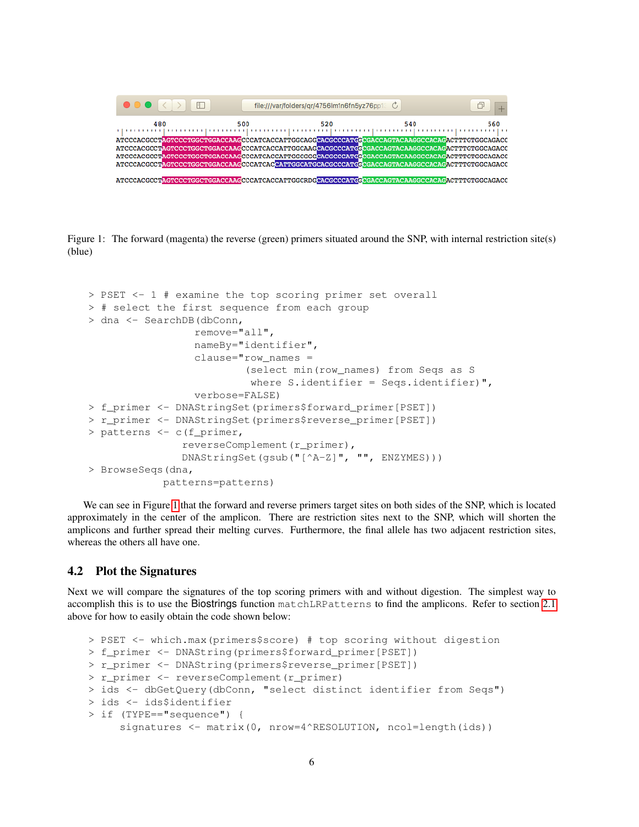| $\Box$<br>$\bullet\bullet\bullet$                                                              |     | file:///var/folders/gr/4756lm1n6fn5yz76pp1 C |     |     |
|------------------------------------------------------------------------------------------------|-----|----------------------------------------------|-----|-----|
| 480                                                                                            | 500 | 520                                          | 540 | 560 |
|                                                                                                |     |                                              |     |     |
|                                                                                                |     |                                              |     |     |
| ATCCCACCCTACTCCCTGGCTGGACCAAGCCCATCACCATTCGCAAGCACCCCCATGCCGACCACTACAAGGCCACAGACTTTGTGGCAGACC  |     |                                              |     |     |
| ATCCCACGCCTAGTCCCTGGCTGGACCAAGCCCATCACCATTGGCGGCGCCCCATGGCGACCACAGTACAAGGCCACAGACTTTGTGGCAGACC |     |                                              |     |     |
| ATCCCACGCCTAGTCCCTGGCTGGACCAAGCCCATCACATTGGCATGCACGCCCATGGCGACCAGTACAAGGCCACAGACTTTGTGGCAGACC  |     |                                              |     |     |
| ATCCCACGCCTAGTCCCTGGCTGGACCAAGCCCATCACCATTGGCRDGCACCCCATGGCGACCAGTACAAGGCCACAGACTTTGGCAGACC    |     |                                              |     |     |

<span id="page-5-1"></span>Figure 1: The forward (magenta) the reverse (green) primers situated around the SNP, with internal restriction site(s) (blue)

```
> PSET <- 1 # examine the top scoring primer set overall
> # select the first sequence from each group
> dna <- SearchDB(dbConn,
                 remove="all",
                 nameBy="identifier",
                 clause="row_names =
                          (select min(row_names) from Seqs as S
                          where S.identifier = Seqs.identifier)",
                 verbose=FALSE)
> f_primer <- DNAStringSet(primers$forward_primer[PSET])
> r_primer <- DNAStringSet(primers$reverse_primer[PSET])
> patterns <- c(f_primer,
               reverseComplement(r_primer),
               DNAStringSet(gsub("[^A-Z]", "", ENZYMES)))
> BrowseSeqs(dna,
            patterns=patterns)
```
We can see in Figure [1](#page-5-1) that the forward and reverse primers target sites on both sides of the SNP, which is located approximately in the center of the amplicon. There are restriction sites next to the SNP, which will shorten the amplicons and further spread their melting curves. Furthermore, the final allele has two adjacent restriction sites, whereas the others all have one.

#### <span id="page-5-0"></span>4.2 Plot the Signatures

Next we will compare the signatures of the top scoring primers with and without digestion. The simplest way to accomplish this is to use the Biostrings function matchLRPatterns to find the amplicons. Refer to section [2.1](#page-1-1) above for how to easily obtain the code shown below:

```
> PSET <- which.max(primers$score) # top scoring without digestion
> f_primer <- DNAString(primers$forward_primer[PSET])
> r_primer <- DNAString(primers$reverse_primer[PSET])
> r_primer <- reverseComplement(r_primer)
> ids <- dbGetQuery(dbConn, "select distinct identifier from Seqs")
> ids <- ids$identifier
> if (TYPE=="sequence") {
     signatures <- matrix(0, nrow=4^RESOLUTION, ncol=length(ids))
```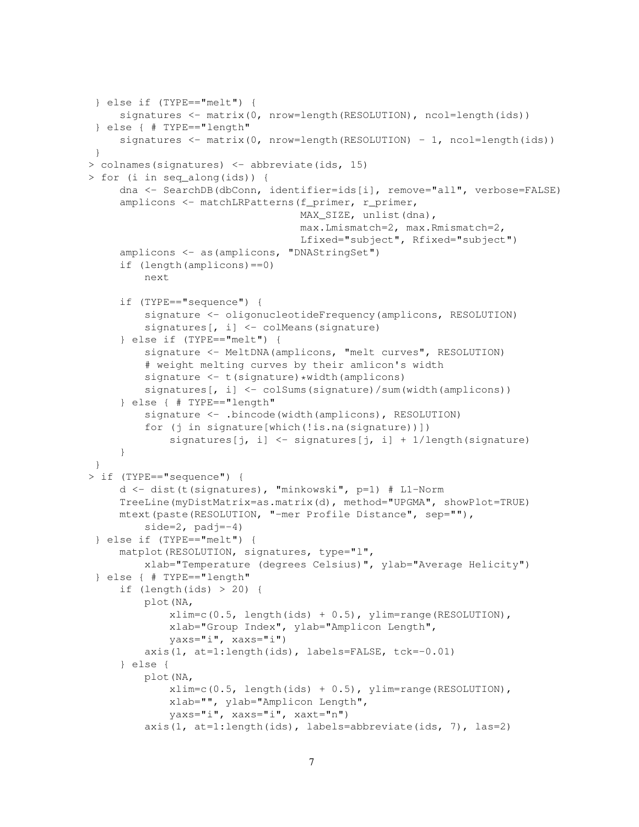```
} else if (TYPE=="melt") {
     signatures <- matrix(0, nrow=length(RESOLUTION), ncol=length(ids))
 } else { # TYPE=="length"
     signatures \leq matrix(0, nrow=length(RESOLUTION) - 1, ncol=length(ids))
 }
> colnames(signatures) <- abbreviate(ids, 15)
> for (i in seq_along(ids)) {
     dna <- SearchDB(dbConn, identifier=ids[i], remove="all", verbose=FALSE)
     amplicons <- matchLRPatterns(f_primer, r_primer,
                                  MAX SIZE, unlist(dna),
                                  max.Lmismatch=2, max.Rmismatch=2,
                                  Lfixed="subject", Rfixed="subject")
     amplicons <- as(amplicons, "DNAStringSet")
     if (length(amplicons)==0)
         next
     if (TYPE=="sequence") {
         signature <- oligonucleotideFrequency(amplicons, RESOLUTION)
         signatures[, i] <- colMeans(signature)
     } else if (TYPE=="melt") {
         signature <- MeltDNA(amplicons, "melt curves", RESOLUTION)
         # weight melting curves by their amlicon's width
         signature \leq - t (signature) *width(amplicons)
         signatures[, i] <- colSums(signature)/sum(width(amplicons))
     } else { # TYPE=="length"
         signature <- .bincode(width(amplicons), RESOLUTION)
         for (j in signature[which(!is.na(signature))])
             signatures[j, i] <- signatures[j, i] + 1/length(signature)
     }
 }
> if (TYPE=="sequence") {
     d <- dist(t(signatures), "minkowski", p=1) # L1-Norm
     TreeLine(myDistMatrix=as.matrix(d), method="UPGMA", showPlot=TRUE)
     mtext(paste(RESOLUTION, "-mer Profile Distance", sep=""),
         side=2, padj=-4)
 } else if (TYPE=="melt") {
     matplot(RESOLUTION, signatures, type="l",
         xlab="Temperature (degrees Celsius)", ylab="Average Helicity")
 } else { # TYPE=="length"
     if (length(ids) > 20) {
         plot(NA,
             xlim=c(0.5, length(ids) + 0.5), ylim=range(RESOLUTION),xlab="Group Index", ylab="Amplicon Length",
             yaxs="i", xaxs="i")
         axis(1, at=1:length(ids), labels=FALSE, tck=-0.01)
     } else {
         plot(NA,
             xlim=c(0.5, length(ids) + 0.5), ylim=range(RESOLUTION),
             xlab="", ylab="Amplicon Length",
             yaxs="i", xaxs="i", xaxt="n")
         axis(1, at=1:length(ids), labels=abbreviate(ids, 7), las=2)
```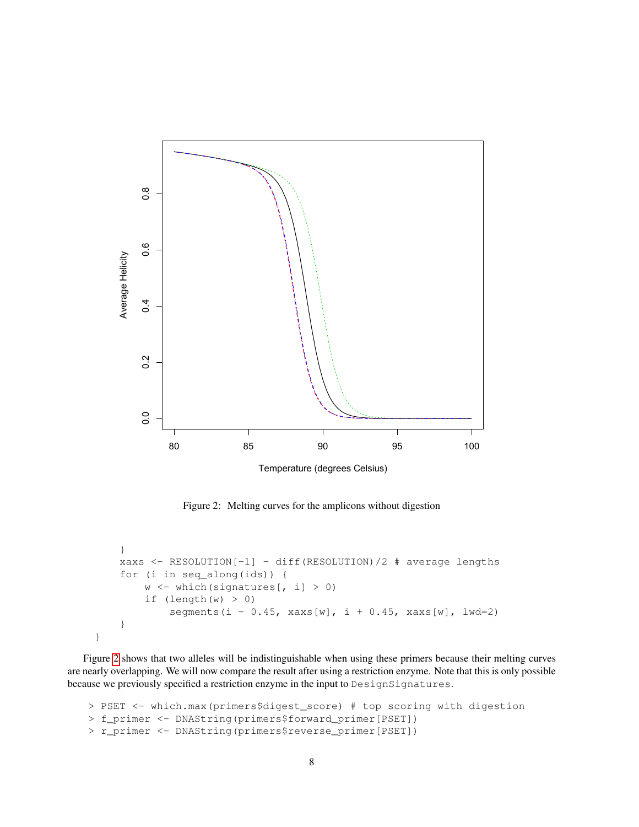

Temperature (degrees Celsius)

<span id="page-7-0"></span>Figure 2: Melting curves for the amplicons without digestion

```
}
xaxs <- RESOLUTION[-1] - diff(RESOLUTION)/2 # average lengths
for (i in seq_along(ids)) {
    w \leftarrow \text{which}(signatures[, i] > 0)if (length(w) > 0)segments(i - 0.45, xaxs[w], i + 0.45, xaxs[w], lwd=2)
}
```
}

Figure [2](#page-7-0) shows that two alleles will be indistinguishable when using these primers because their melting curves are nearly overlapping. We will now compare the result after using a restriction enzyme. Note that this is only possible because we previously specified a restriction enzyme in the input to DesignSignatures.

```
> PSET <- which.max(primers$digest_score) # top scoring with digestion
> f_primer <- DNAString(primers$forward_primer[PSET])
> r_primer <- DNAString(primers$reverse_primer[PSET])
```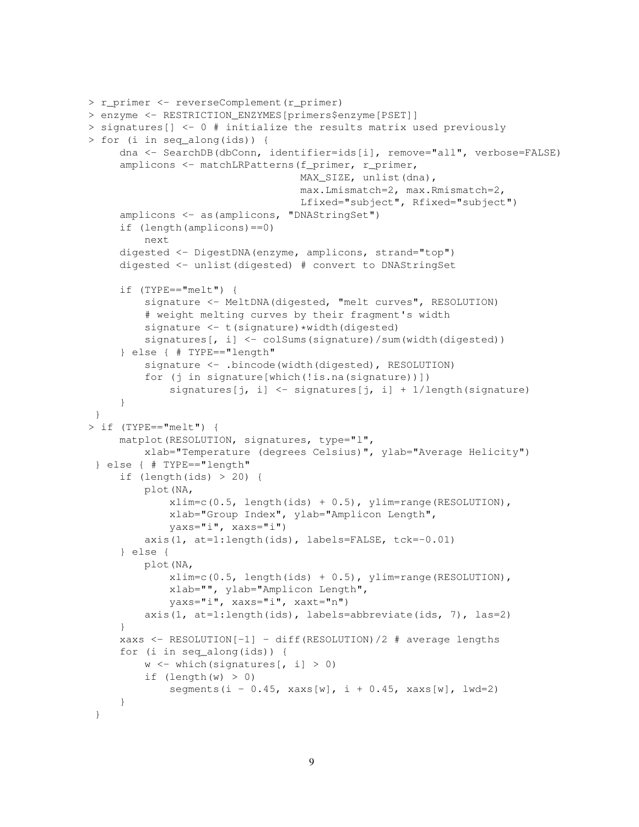```
> r_primer <- reverseComplement(r_primer)
> enzyme <- RESTRICTION_ENZYMES[primers$enzyme[PSET]]
> signatures[] <- 0 # initialize the results matrix used previously
> for (i in seq_along(ids)) {
     dna <- SearchDB(dbConn, identifier=ids[i], remove="all", verbose=FALSE)
     amplicons <- matchLRPatterns(f_primer, r_primer,
                                  MAX_SIZE, unlist(dna),
                                  max.Lmismatch=2, max.Rmismatch=2,
                                  Lfixed="subject", Rfixed="subject")
     amplicons <- as(amplicons, "DNAStringSet")
     if (length(amplicons)==0)
         next
     digested <- DigestDNA(enzyme, amplicons, strand="top")
     digested <- unlist(digested) # convert to DNAStringSet
     if (TYPE=="melt") {
         signature <- MeltDNA(digested, "melt curves", RESOLUTION)
         # weight melting curves by their fragment's width
         signature <- t(signature)*width(digested)
         signatures[, i] <- colSums(signature)/sum(width(digested))
     } else { # TYPE=="length"
         signature <- .bincode(width(digested), RESOLUTION)
         for (j in signature[which(!is.na(signature))])
             signatures[j, i] <- signatures[j, i] + 1/length(signature)
     }
 }
> if (TYPE=="melt") {
     matplot(RESOLUTION, signatures, type="l",
         xlab="Temperature (degrees Celsius)", ylab="Average Helicity")
 } else { # TYPE=="length"
     if (lenqth(ids) > 20) {
         plot(NA,
             xlim=c(0.5, length(ids) + 0.5), ylim=range(RESOLUTION),xlab="Group Index", ylab="Amplicon Length",
             yaxs="i", xaxs="i")
         axis(1, at=1:length(ids), labels=FALSE, tck=-0.01)
     } else {
         plot(NA,
             xlim=c(0.5, length(ids) + 0.5), ylim=range(RESOLUTION),xlab="", ylab="Amplicon Length",
             yaxs="i", xaxs="i", xaxt="n")
         axis(1, at=1:length(ids), labels=abbreviate(ids, 7), las=2)
     }
     xaxs <- RESOLUTION[-1] - diff(RESOLUTION)/2 # average lengths
     for (i in seq_along(ids)) {
         w \le - which (signatures [, i] > 0)
         if (lenqth(w) > 0)segments(i - 0.45, xaxs[w], i + 0.45, xaxs[w], lwd=2)
     }
 }
```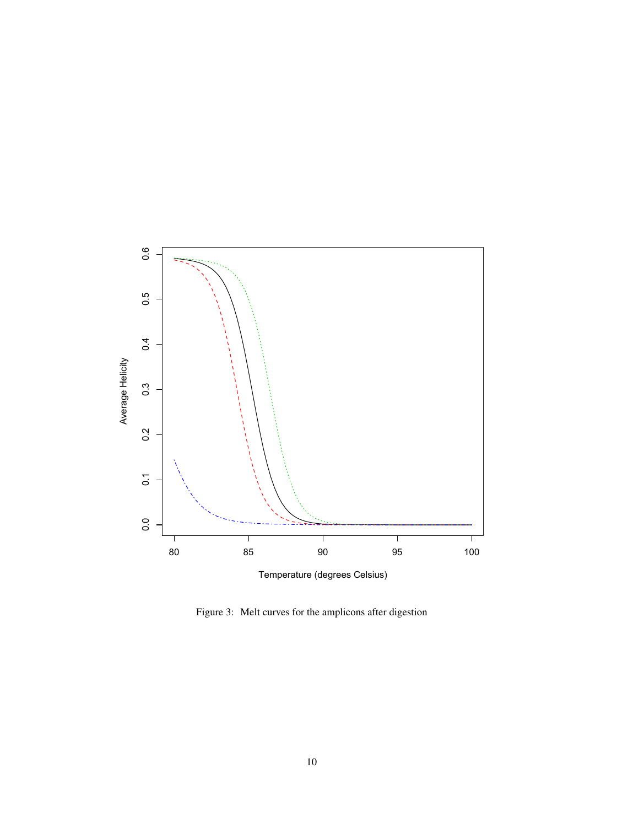

<span id="page-9-0"></span>Figure 3: Melt curves for the amplicons after digestion